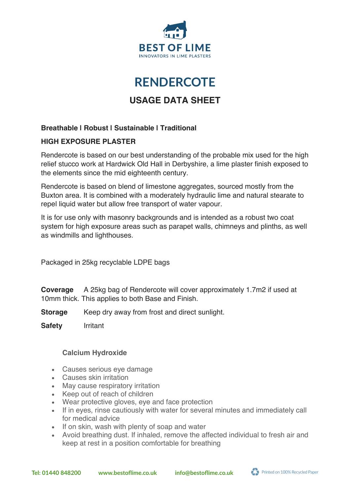

# **RENDERCOTE RENDERCOTE**

# **USAGE DATA SHEET**

## **Breathable | Robust | Sustainable | Traditional**

### **HIGH EXPOSURE PLASTER**

Rendercote is based on our best understanding of the probable mix used for the high relief stucco work at Hardwick Old Hall in Derbyshire, a lime plaster finish exposed to the elements since the mid eighteenth century.

Rendercote is based on blend of limestone aggregates, sourced mostly from the Buxton area. It is combined with a moderately hydraulic lime and natural stearate to repel liquid water but allow free transport of water vapour.

It is for use only with masonry backgrounds and is intended as a robust two coat system for high exposure areas such as parapet walls, chimneys and plinths, as well as windmills and lighthouses.

Packaged in 25kg recyclable LDPE bags

**Coverage** A 25kg bag of Rendercote will cover approximately 1.7m2 if used at 10mm thick. This applies to both Base and Finish.

- **Storage** Keep dry away from frost and direct sunlight.
- **Safety** Irritant

### **Calcium Hydroxide**

- Causes serious eye damage
- Causes skin irritation
- May cause respiratory irritation
- Keep out of reach of children
- Wear protective gloves, eye and face protection
- If in eyes, rinse cautiously with water for several minutes and immediately call for medical advice
- If on skin, wash with plenty of soap and water
- Avoid breathing dust. If inhaled, remove the affected individual to fresh air and keep at rest in a position comfortable for breathing